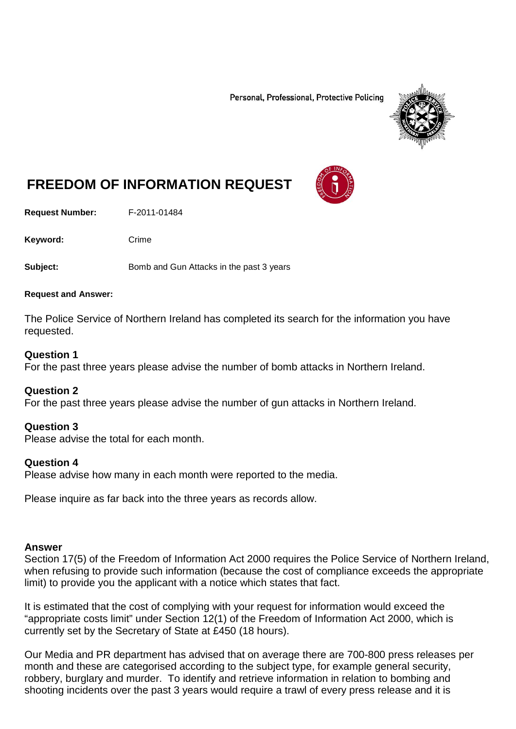Personal, Professional, Protective Policing



# **FREEDOM OF INFORMATION REQUEST**

**Request Number:** F-2011-01484

Keyword: Crime

**Subject:** Bomb and Gun Attacks in the past 3 years

#### **Request and Answer:**

The Police Service of Northern Ireland has completed its search for the information you have requested.

## **Question 1**

For the past three years please advise the number of bomb attacks in Northern Ireland.

## **Question 2**

For the past three years please advise the number of gun attacks in Northern Ireland.

## **Question 3**

Please advise the total for each month.

## **Question 4**

Please advise how many in each month were reported to the media.

Please inquire as far back into the three years as records allow.

## **Answer**

Section 17(5) of the Freedom of Information Act 2000 requires the Police Service of Northern Ireland, when refusing to provide such information (because the cost of compliance exceeds the appropriate limit) to provide you the applicant with a notice which states that fact.

It is estimated that the cost of complying with your request for information would exceed the "appropriate costs limit" under Section 12(1) of the Freedom of Information Act 2000, which is currently set by the Secretary of State at £450 (18 hours).

Our Media and PR department has advised that on average there are 700-800 press releases per month and these are categorised according to the subject type, for example general security, robbery, burglary and murder. To identify and retrieve information in relation to bombing and shooting incidents over the past 3 years would require a trawl of every press release and it is